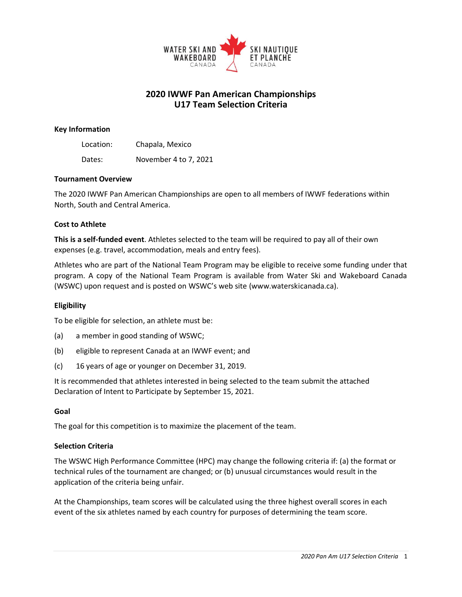

# **2020 IWWF Pan American Championships U17 Team Selection Criteria**

### **Key Information**

Location: Chapala, Mexico Dates: November 4 to 7, 2021

#### **Tournament Overview**

The 2020 IWWF Pan American Championships are open to all members of IWWF federations within North, South and Central America.

### **Cost to Athlete**

**This is a self-funded event**. Athletes selected to the team will be required to pay all of their own expenses (e.g. travel, accommodation, meals and entry fees).

Athletes who are part of the National Team Program may be eligible to receive some funding under that program. A copy of the National Team Program is available from Water Ski and Wakeboard Canada (WSWC) upon request and is posted on WSWC's web site (www.waterskicanada.ca).

### **Eligibility**

To be eligible for selection, an athlete must be:

- (a) a member in good standing of WSWC;
- (b) eligible to represent Canada at an IWWF event; and
- (c) 16 years of age or younger on December 31, 2019.

It is recommended that athletes interested in being selected to the team submit the attached Declaration of Intent to Participate by September 15, 2021.

#### **Goal**

The goal for this competition is to maximize the placement of the team.

### **Selection Criteria**

The WSWC High Performance Committee (HPC) may change the following criteria if: (a) the format or technical rules of the tournament are changed; or (b) unusual circumstances would result in the application of the criteria being unfair.

At the Championships, team scores will be calculated using the three highest overall scores in each event of the six athletes named by each country for purposes of determining the team score.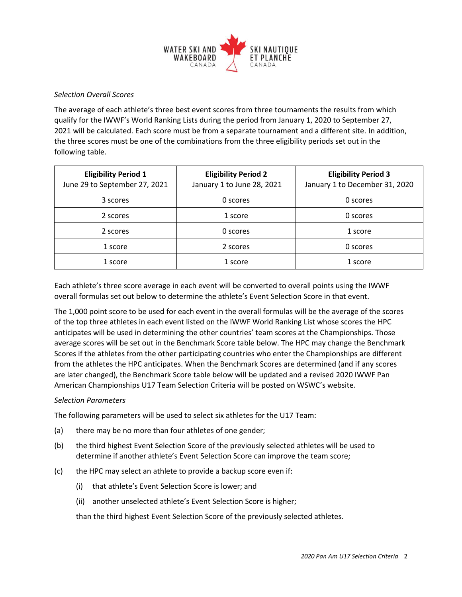

### *Selection Overall Scores*

The average of each athlete's three best event scores from three tournaments the results from which qualify for the IWWF's World Ranking Lists during the period from January 1, 2020 to September 27, 2021 will be calculated. Each score must be from a separate tournament and a different site. In addition, the three scores must be one of the combinations from the three eligibility periods set out in the following table.

| <b>Eligibility Period 1</b><br>June 29 to September 27, 2021 | <b>Eligibility Period 2</b><br>January 1 to June 28, 2021 | <b>Eligibility Period 3</b><br>January 1 to December 31, 2020 |
|--------------------------------------------------------------|-----------------------------------------------------------|---------------------------------------------------------------|
| 3 scores                                                     | 0 scores                                                  | 0 scores                                                      |
| 2 scores                                                     | 1 score                                                   | 0 scores                                                      |
| 2 scores                                                     | 0 scores                                                  | 1 score                                                       |
| 1 score                                                      | 2 scores                                                  | 0 scores                                                      |
| 1 score                                                      | 1 score                                                   | 1 score                                                       |

Each athlete's three score average in each event will be converted to overall points using the IWWF overall formulas set out below to determine the athlete's Event Selection Score in that event.

The 1,000 point score to be used for each event in the overall formulas will be the average of the scores of the top three athletes in each event listed on the IWWF World Ranking List whose scores the HPC anticipates will be used in determining the other countries' team scores at the Championships. Those average scores will be set out in the Benchmark Score table below. The HPC may change the Benchmark Scores if the athletes from the other participating countries who enter the Championships are different from the athletes the HPC anticipates. When the Benchmark Scores are determined (and if any scores are later changed), the Benchmark Score table below will be updated and a revised 2020 IWWF Pan American Championships U17 Team Selection Criteria will be posted on WSWC's website.

### *Selection Parameters*

The following parameters will be used to select six athletes for the U17 Team:

- (a) there may be no more than four athletes of one gender;
- (b) the third highest Event Selection Score of the previously selected athletes will be used to determine if another athlete's Event Selection Score can improve the team score;
- (c) the HPC may select an athlete to provide a backup score even if:
	- (i) that athlete's Event Selection Score is lower; and
	- (ii) another unselected athlete's Event Selection Score is higher;

than the third highest Event Selection Score of the previously selected athletes.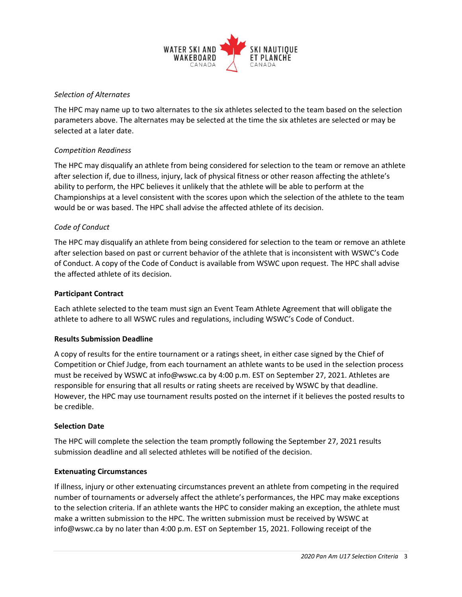

## *Selection of Alternates*

The HPC may name up to two alternates to the six athletes selected to the team based on the selection parameters above. The alternates may be selected at the time the six athletes are selected or may be selected at a later date.

### *Competition Readiness*

The HPC may disqualify an athlete from being considered for selection to the team or remove an athlete after selection if, due to illness, injury, lack of physical fitness or other reason affecting the athlete's ability to perform, the HPC believes it unlikely that the athlete will be able to perform at the Championships at a level consistent with the scores upon which the selection of the athlete to the team would be or was based. The HPC shall advise the affected athlete of its decision.

### *Code of Conduct*

The HPC may disqualify an athlete from being considered for selection to the team or remove an athlete after selection based on past or current behavior of the athlete that is inconsistent with WSWC's Code of Conduct. A copy of the Code of Conduct is available from WSWC upon request. The HPC shall advise the affected athlete of its decision.

### **Participant Contract**

Each athlete selected to the team must sign an Event Team Athlete Agreement that will obligate the athlete to adhere to all WSWC rules and regulations, including WSWC's Code of Conduct.

### **Results Submission Deadline**

A copy of results for the entire tournament or a ratings sheet, in either case signed by the Chief of Competition or Chief Judge, from each tournament an athlete wants to be used in the selection process must be received by WSWC at info@wswc.ca by 4:00 p.m. EST on September 27, 2021. Athletes are responsible for ensuring that all results or rating sheets are received by WSWC by that deadline. However, the HPC may use tournament results posted on the internet if it believes the posted results to be credible.

### **Selection Date**

The HPC will complete the selection the team promptly following the September 27, 2021 results submission deadline and all selected athletes will be notified of the decision.

### **Extenuating Circumstances**

If illness, injury or other extenuating circumstances prevent an athlete from competing in the required number of tournaments or adversely affect the athlete's performances, the HPC may make exceptions to the selection criteria. If an athlete wants the HPC to consider making an exception, the athlete must make a written submission to the HPC. The written submission must be received by WSWC at info@wswc.ca by no later than 4:00 p.m. EST on September 15, 2021. Following receipt of the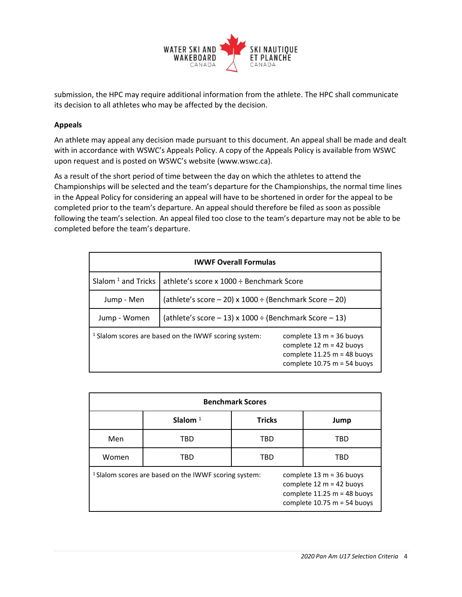

submission, the HPC may require additional information from the athlete. The HPC shall communicate its decision to all athletes who may be affected by the decision.

## **Appeals**

An athlete may appeal any decision made pursuant to this document. An appeal shall be made and dealt with in accordance with WSWC's Appeals Policy. A copy of the Appeals Policy is available from WSWC upon request and is posted on WSWC's website (www.wswc.ca).

As a result of the short period of time between the day on which the athletes to attend the Championships will be selected and the team's departure for the Championships, the normal time lines in the Appeal Policy for considering an appeal will have to be shortened in order for the appeal to be completed prior to the team's departure. An appeal should therefore be filed as soon as possible following the team's selection. An appeal filed too close to the team's departure may not be able to be completed before the team's departure.

| <b>IWWF Overall Formulas</b>   |                                                                  |                                                                                                                            |  |  |
|--------------------------------|------------------------------------------------------------------|----------------------------------------------------------------------------------------------------------------------------|--|--|
| Slalom <sup>1</sup> and Tricks | athlete's score x 1000 ÷ Benchmark Score                         |                                                                                                                            |  |  |
| Jump - Men                     | (athlete's score $-20$ ) x 1000 ÷ (Benchmark Score $-20$ )       |                                                                                                                            |  |  |
| Jump - Women                   | (athlete's score $-13$ ) x 1000 ÷ (Benchmark Score $-13$ )       |                                                                                                                            |  |  |
|                                | <sup>1</sup> Slalom scores are based on the IWWF scoring system: | complete $13 m = 36$ buoys<br>complete $12 m = 42$ buoys<br>complete $11.25 m = 48$ buoys<br>complete $10.75$ m = 54 buoys |  |  |

| <b>Benchmark Scores</b>                                          |            |               |                                                                                                                          |  |  |
|------------------------------------------------------------------|------------|---------------|--------------------------------------------------------------------------------------------------------------------------|--|--|
|                                                                  | Slalom $1$ | <b>Tricks</b> | Jump                                                                                                                     |  |  |
| Men                                                              | TBD        | TBD           | TBD                                                                                                                      |  |  |
| Women                                                            | TBD        | TBD           | TBD                                                                                                                      |  |  |
| <sup>1</sup> Slalom scores are based on the IWWF scoring system: |            |               | complete $13 m = 36$ buoys<br>complete 12 m = 42 buoys<br>complete $11.25 m = 48$ buoys<br>complete $10.75$ m = 54 buoys |  |  |